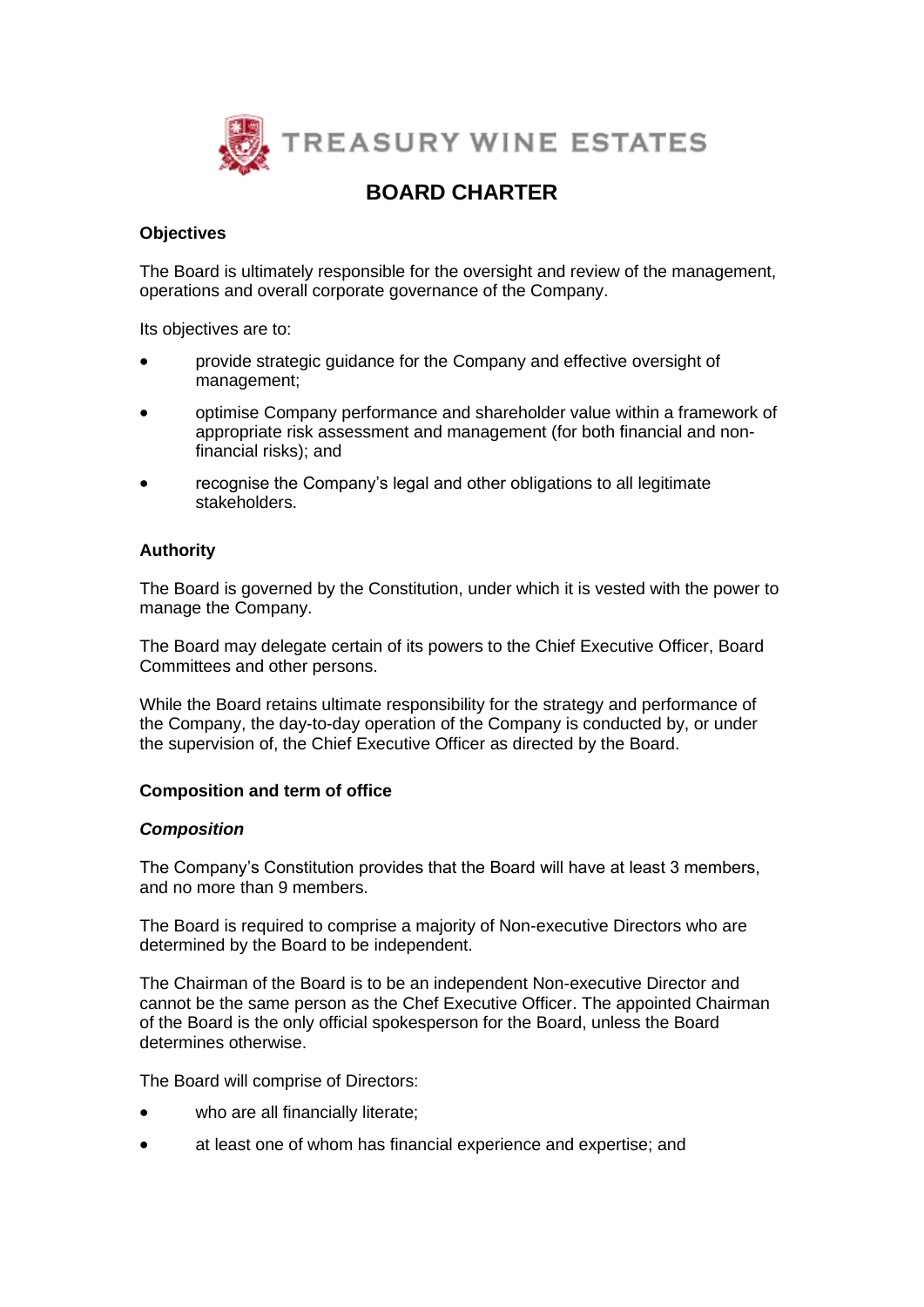

# **BOARD CHARTER**

## **Objectives**

The Board is ultimately responsible for the oversight and review of the management, operations and overall corporate governance of the Company.

Its objectives are to:

- provide strategic guidance for the Company and effective oversight of management;
- optimise Company performance and shareholder value within a framework of appropriate risk assessment and management (for both financial and nonfinancial risks); and
- recognise the Company's legal and other obligations to all legitimate stakeholders.

# **Authority**

The Board is governed by the Constitution, under which it is vested with the power to manage the Company.

The Board may delegate certain of its powers to the Chief Executive Officer, Board Committees and other persons.

While the Board retains ultimate responsibility for the strategy and performance of the Company, the day-to-day operation of the Company is conducted by, or under the supervision of, the Chief Executive Officer as directed by the Board.

# **Composition and term of office**

#### *Composition*

The Company's Constitution provides that the Board will have at least 3 members, and no more than 9 members.

The Board is required to comprise a majority of Non-executive Directors who are determined by the Board to be independent.

The Chairman of the Board is to be an independent Non-executive Director and cannot be the same person as the Chef Executive Officer. The appointed Chairman of the Board is the only official spokesperson for the Board, unless the Board determines otherwise.

The Board will comprise of Directors:

- who are all financially literate;
- at least one of whom has financial experience and expertise; and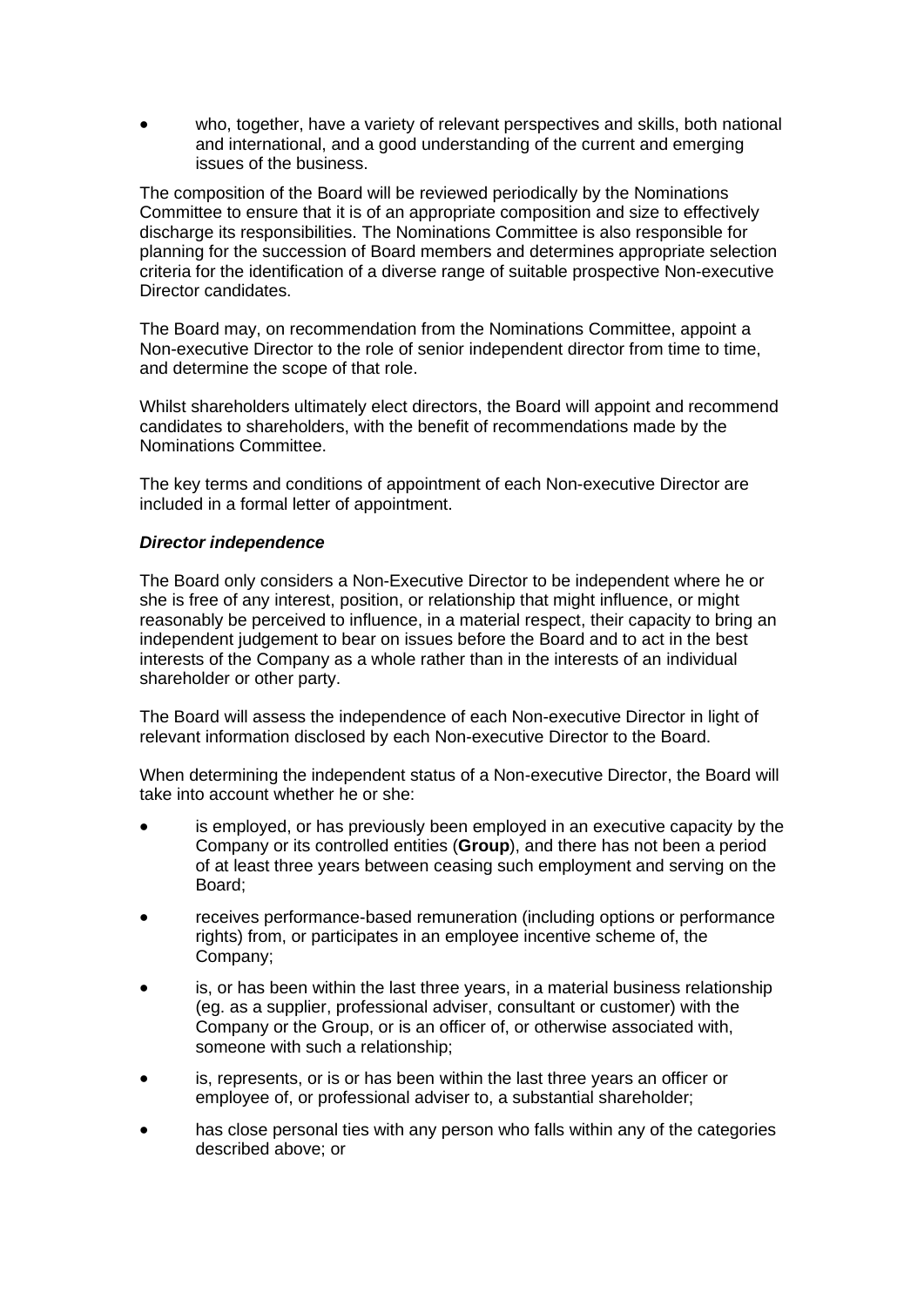who, together, have a variety of relevant perspectives and skills, both national and international, and a good understanding of the current and emerging issues of the business.

The composition of the Board will be reviewed periodically by the Nominations Committee to ensure that it is of an appropriate composition and size to effectively discharge its responsibilities. The Nominations Committee is also responsible for planning for the succession of Board members and determines appropriate selection criteria for the identification of a diverse range of suitable prospective Non-executive Director candidates.

The Board may, on recommendation from the Nominations Committee, appoint a Non-executive Director to the role of senior independent director from time to time, and determine the scope of that role.

Whilst shareholders ultimately elect directors, the Board will appoint and recommend candidates to shareholders, with the benefit of recommendations made by the Nominations Committee.

The key terms and conditions of appointment of each Non-executive Director are included in a formal letter of appointment.

## *Director independence*

The Board only considers a Non-Executive Director to be independent where he or she is free of any interest, position, or relationship that might influence, or might reasonably be perceived to influence, in a material respect, their capacity to bring an independent judgement to bear on issues before the Board and to act in the best interests of the Company as a whole rather than in the interests of an individual shareholder or other party.

The Board will assess the independence of each Non-executive Director in light of relevant information disclosed by each Non-executive Director to the Board.

When determining the independent status of a Non-executive Director, the Board will take into account whether he or she:

- is employed, or has previously been employed in an executive capacity by the Company or its controlled entities (**Group**), and there has not been a period of at least three years between ceasing such employment and serving on the Board;
- receives performance-based remuneration (including options or performance rights) from, or participates in an employee incentive scheme of, the Company;
- is, or has been within the last three years, in a material business relationship (eg. as a supplier, professional adviser, consultant or customer) with the Company or the Group, or is an officer of, or otherwise associated with, someone with such a relationship;
- is, represents, or is or has been within the last three years an officer or employee of, or professional adviser to, a substantial shareholder;
- has close personal ties with any person who falls within any of the categories described above; or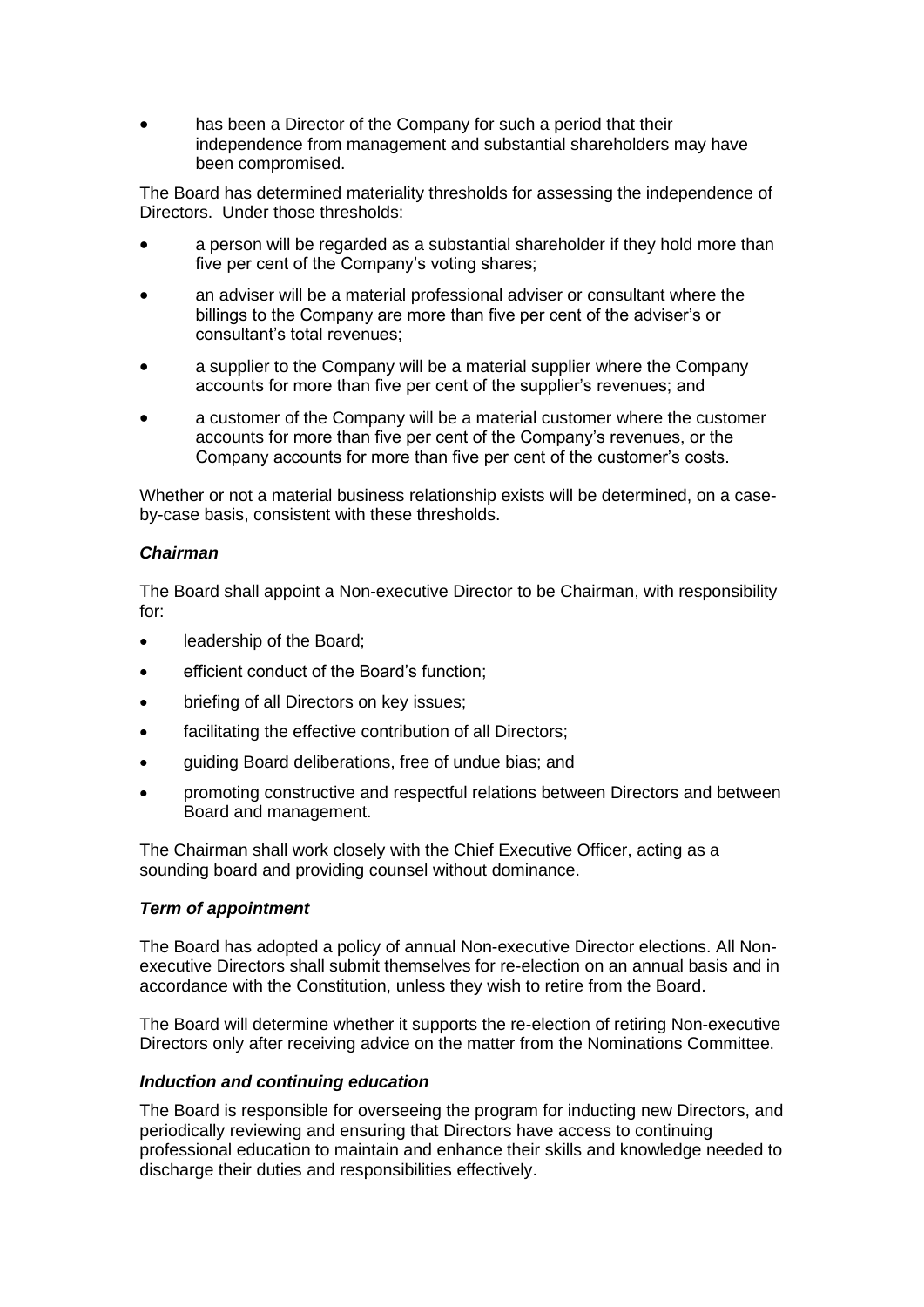has been a Director of the Company for such a period that their independence from management and substantial shareholders may have been compromised.

The Board has determined materiality thresholds for assessing the independence of Directors. Under those thresholds:

- a person will be regarded as a substantial shareholder if they hold more than five per cent of the Company's voting shares;
- an adviser will be a material professional adviser or consultant where the billings to the Company are more than five per cent of the adviser's or consultant's total revenues;
- a supplier to the Company will be a material supplier where the Company accounts for more than five per cent of the supplier's revenues; and
- a customer of the Company will be a material customer where the customer accounts for more than five per cent of the Company's revenues, or the Company accounts for more than five per cent of the customer's costs.

Whether or not a material business relationship exists will be determined, on a caseby-case basis, consistent with these thresholds.

#### *Chairman*

The Board shall appoint a Non-executive Director to be Chairman, with responsibility for:

- leadership of the Board;
- efficient conduct of the Board's function;
- briefing of all Directors on key issues;
- facilitating the effective contribution of all Directors;
- guiding Board deliberations, free of undue bias; and
- promoting constructive and respectful relations between Directors and between Board and management.

The Chairman shall work closely with the Chief Executive Officer, acting as a sounding board and providing counsel without dominance.

#### *Term of appointment*

The Board has adopted a policy of annual Non-executive Director elections. All Nonexecutive Directors shall submit themselves for re-election on an annual basis and in accordance with the Constitution, unless they wish to retire from the Board.

The Board will determine whether it supports the re-election of retiring Non-executive Directors only after receiving advice on the matter from the Nominations Committee.

#### *Induction and continuing education*

The Board is responsible for overseeing the program for inducting new Directors, and periodically reviewing and ensuring that Directors have access to continuing professional education to maintain and enhance their skills and knowledge needed to discharge their duties and responsibilities effectively.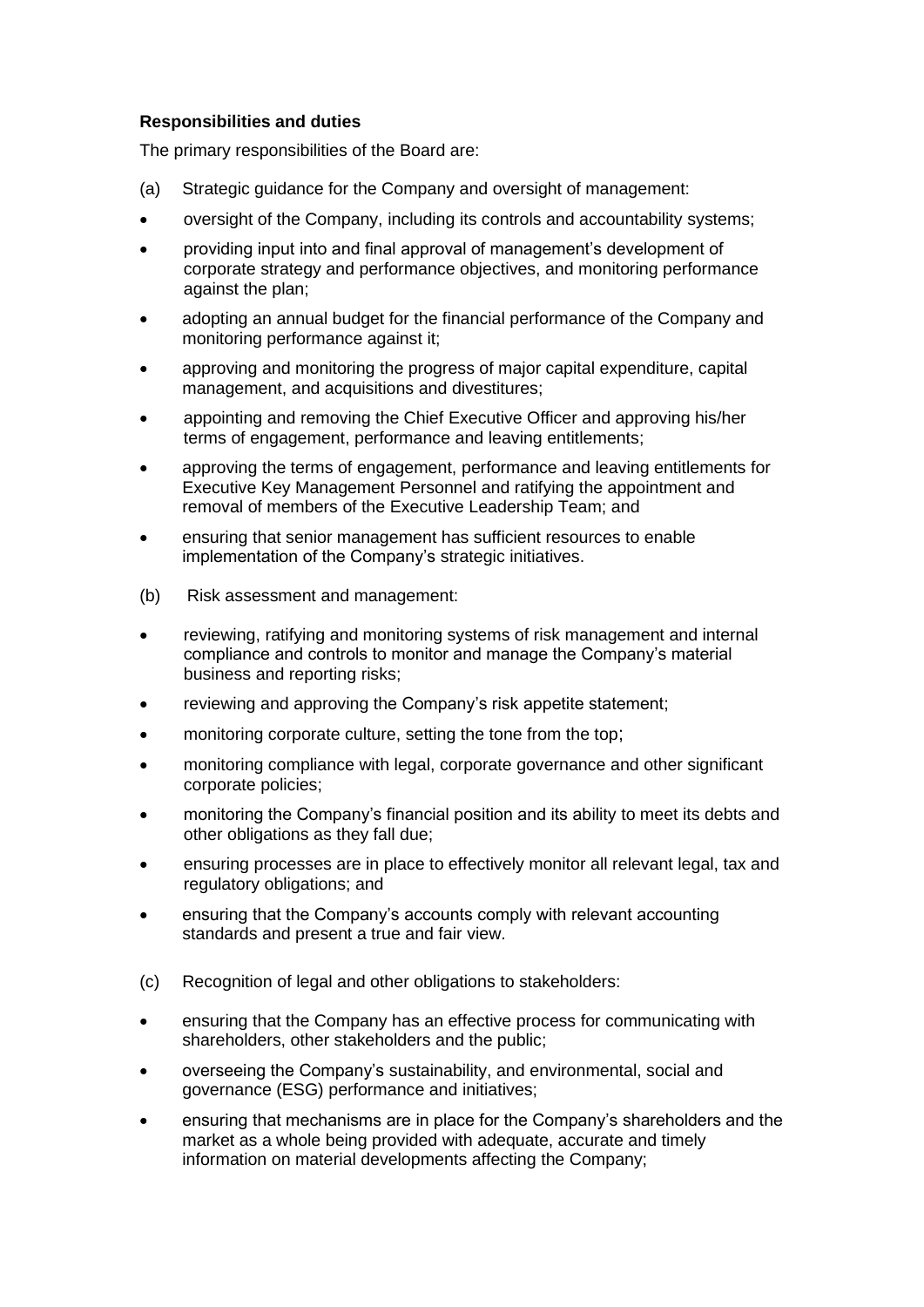## **Responsibilities and duties**

The primary responsibilities of the Board are:

- (a) Strategic guidance for the Company and oversight of management:
- oversight of the Company, including its controls and accountability systems;
- providing input into and final approval of management's development of corporate strategy and performance objectives, and monitoring performance against the plan;
- adopting an annual budget for the financial performance of the Company and monitoring performance against it;
- approving and monitoring the progress of major capital expenditure, capital management, and acquisitions and divestitures;
- appointing and removing the Chief Executive Officer and approving his/her terms of engagement, performance and leaving entitlements;
- approving the terms of engagement, performance and leaving entitlements for Executive Key Management Personnel and ratifying the appointment and removal of members of the Executive Leadership Team; and
- ensuring that senior management has sufficient resources to enable implementation of the Company's strategic initiatives.
- (b) Risk assessment and management:
- reviewing, ratifying and monitoring systems of risk management and internal compliance and controls to monitor and manage the Company's material business and reporting risks;
- reviewing and approving the Company's risk appetite statement;
- monitoring corporate culture, setting the tone from the top;
- monitoring compliance with legal, corporate governance and other significant corporate policies;
- monitoring the Company's financial position and its ability to meet its debts and other obligations as they fall due;
- ensuring processes are in place to effectively monitor all relevant legal, tax and regulatory obligations; and
- ensuring that the Company's accounts comply with relevant accounting standards and present a true and fair view.
- (c) Recognition of legal and other obligations to stakeholders:
- ensuring that the Company has an effective process for communicating with shareholders, other stakeholders and the public;
- overseeing the Company's sustainability, and environmental, social and governance (ESG) performance and initiatives;
- ensuring that mechanisms are in place for the Company's shareholders and the market as a whole being provided with adequate, accurate and timely information on material developments affecting the Company;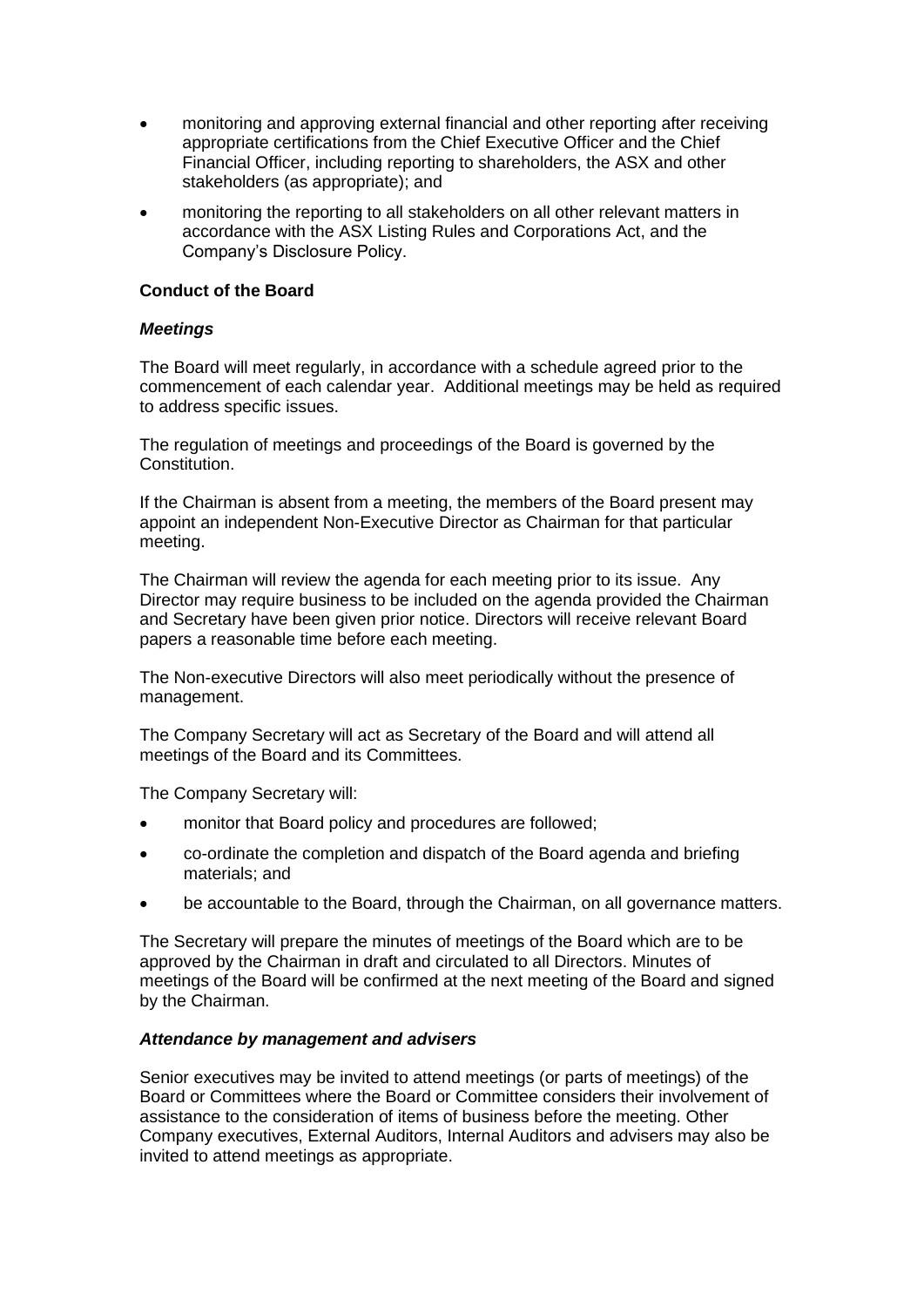- monitoring and approving external financial and other reporting after receiving appropriate certifications from the Chief Executive Officer and the Chief Financial Officer, including reporting to shareholders, the ASX and other stakeholders (as appropriate); and
- monitoring the reporting to all stakeholders on all other relevant matters in accordance with the ASX Listing Rules and Corporations Act, and the Company's Disclosure Policy.

# **Conduct of the Board**

# *Meetings*

The Board will meet regularly, in accordance with a schedule agreed prior to the commencement of each calendar year. Additional meetings may be held as required to address specific issues.

The regulation of meetings and proceedings of the Board is governed by the Constitution.

If the Chairman is absent from a meeting, the members of the Board present may appoint an independent Non-Executive Director as Chairman for that particular meeting.

The Chairman will review the agenda for each meeting prior to its issue. Any Director may require business to be included on the agenda provided the Chairman and Secretary have been given prior notice. Directors will receive relevant Board papers a reasonable time before each meeting.

The Non-executive Directors will also meet periodically without the presence of management.

The Company Secretary will act as Secretary of the Board and will attend all meetings of the Board and its Committees.

The Company Secretary will:

- monitor that Board policy and procedures are followed;
- co-ordinate the completion and dispatch of the Board agenda and briefing materials; and
- be accountable to the Board, through the Chairman, on all governance matters.

The Secretary will prepare the minutes of meetings of the Board which are to be approved by the Chairman in draft and circulated to all Directors. Minutes of meetings of the Board will be confirmed at the next meeting of the Board and signed by the Chairman.

#### *Attendance by management and advisers*

Senior executives may be invited to attend meetings (or parts of meetings) of the Board or Committees where the Board or Committee considers their involvement of assistance to the consideration of items of business before the meeting. Other Company executives, External Auditors, Internal Auditors and advisers may also be invited to attend meetings as appropriate.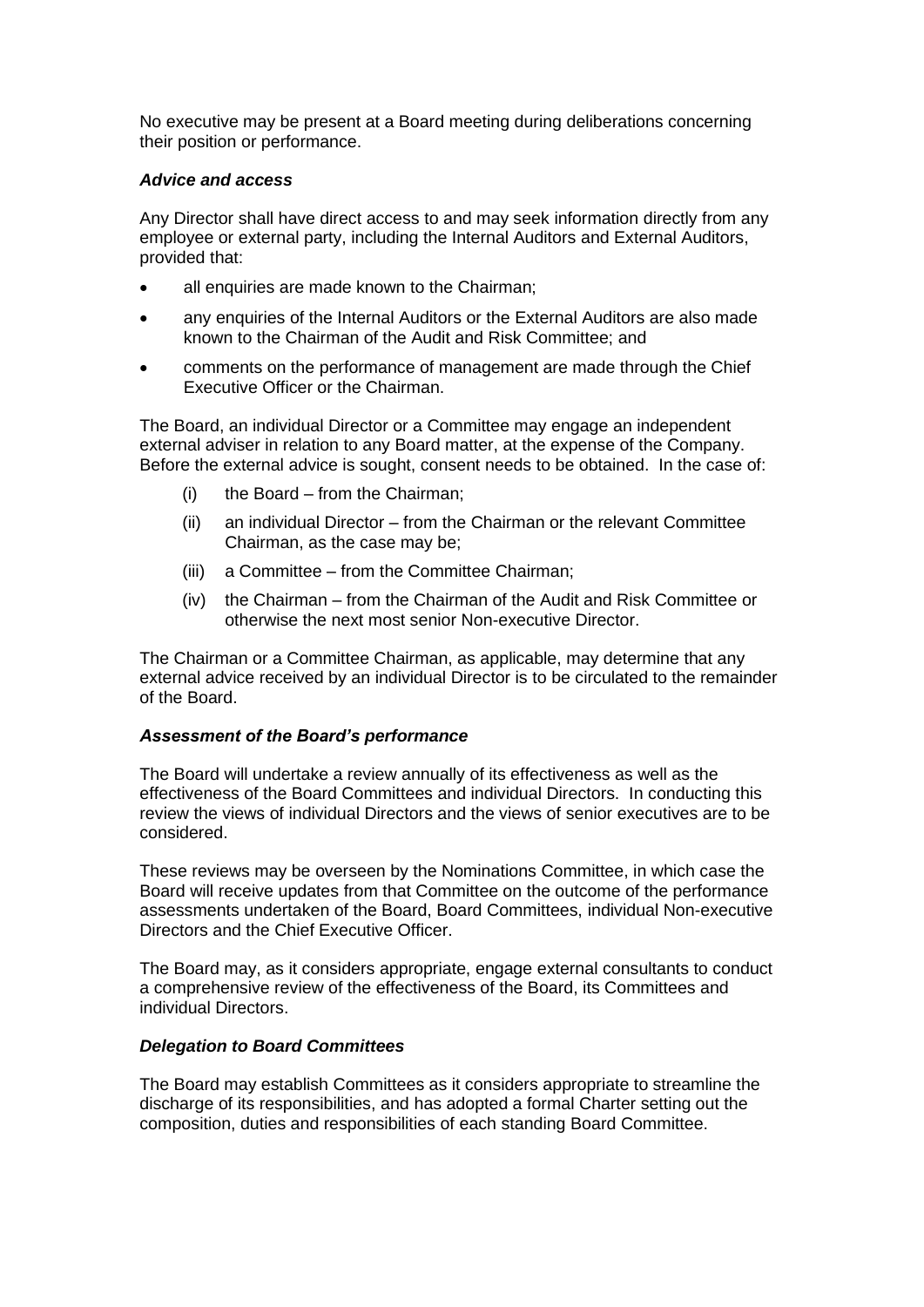No executive may be present at a Board meeting during deliberations concerning their position or performance.

#### *Advice and access*

Any Director shall have direct access to and may seek information directly from any employee or external party, including the Internal Auditors and External Auditors, provided that:

- all enquiries are made known to the Chairman;
- any enquiries of the Internal Auditors or the External Auditors are also made known to the Chairman of the Audit and Risk Committee; and
- comments on the performance of management are made through the Chief Executive Officer or the Chairman.

The Board, an individual Director or a Committee may engage an independent external adviser in relation to any Board matter, at the expense of the Company. Before the external advice is sought, consent needs to be obtained. In the case of:

- (i) the Board from the Chairman;
- (ii) an individual Director from the Chairman or the relevant Committee Chairman, as the case may be;
- (iii) a Committee from the Committee Chairman;
- (iv) the Chairman from the Chairman of the Audit and Risk Committee or otherwise the next most senior Non-executive Director.

The Chairman or a Committee Chairman, as applicable, may determine that any external advice received by an individual Director is to be circulated to the remainder of the Board.

# *Assessment of the Board's performance*

The Board will undertake a review annually of its effectiveness as well as the effectiveness of the Board Committees and individual Directors. In conducting this review the views of individual Directors and the views of senior executives are to be considered.

These reviews may be overseen by the Nominations Committee, in which case the Board will receive updates from that Committee on the outcome of the performance assessments undertaken of the Board, Board Committees, individual Non-executive Directors and the Chief Executive Officer.

The Board may, as it considers appropriate, engage external consultants to conduct a comprehensive review of the effectiveness of the Board, its Committees and individual Directors.

#### *Delegation to Board Committees*

The Board may establish Committees as it considers appropriate to streamline the discharge of its responsibilities, and has adopted a formal Charter setting out the composition, duties and responsibilities of each standing Board Committee.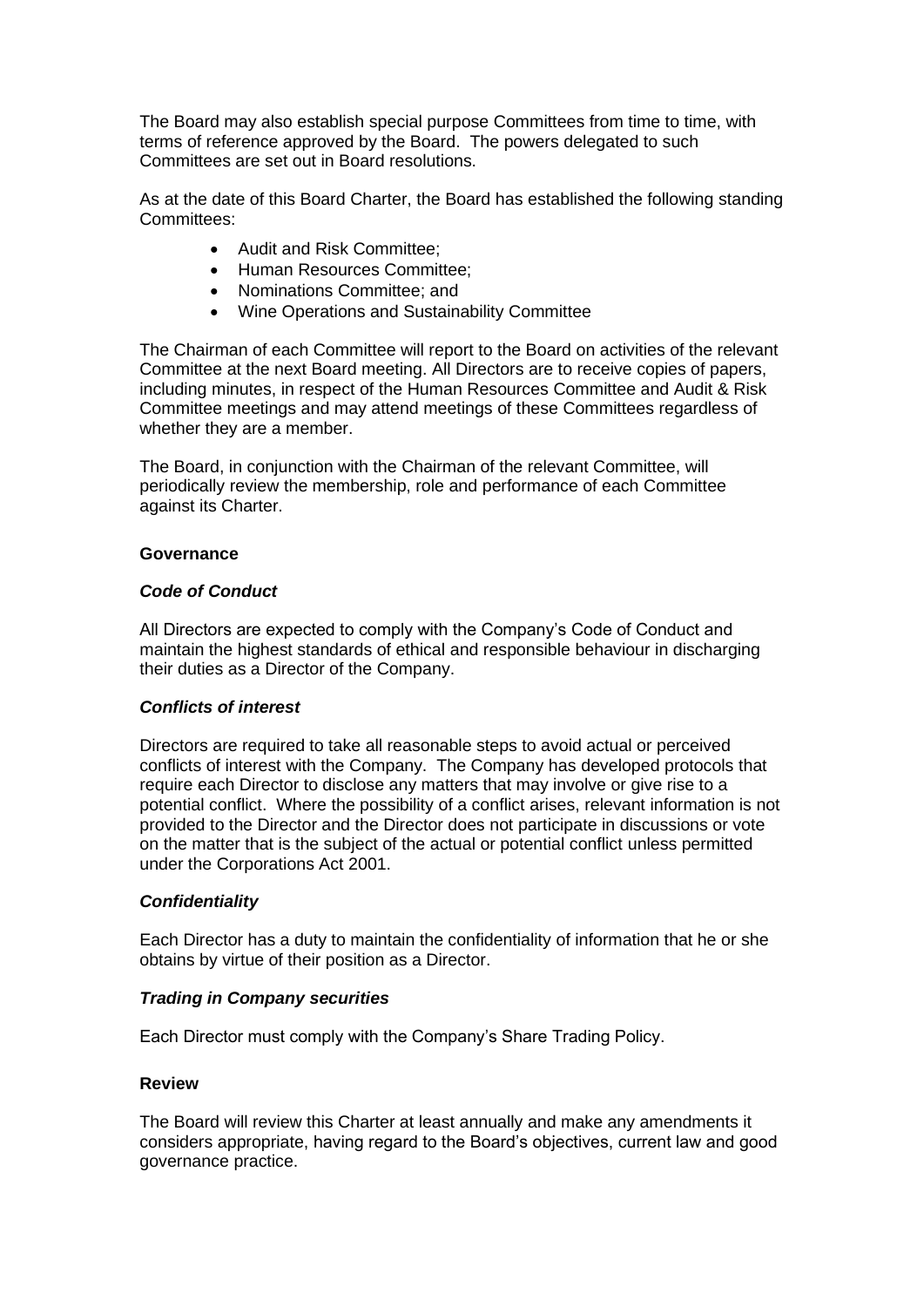The Board may also establish special purpose Committees from time to time, with terms of reference approved by the Board. The powers delegated to such Committees are set out in Board resolutions.

As at the date of this Board Charter, the Board has established the following standing Committees:

- Audit and Risk Committee;
- Human Resources Committee;
- Nominations Committee; and
- Wine Operations and Sustainability Committee

The Chairman of each Committee will report to the Board on activities of the relevant Committee at the next Board meeting. All Directors are to receive copies of papers, including minutes, in respect of the Human Resources Committee and Audit & Risk Committee meetings and may attend meetings of these Committees regardless of whether they are a member.

The Board, in conjunction with the Chairman of the relevant Committee, will periodically review the membership, role and performance of each Committee against its Charter.

## **Governance**

## *Code of Conduct*

All Directors are expected to comply with the Company's Code of Conduct and maintain the highest standards of ethical and responsible behaviour in discharging their duties as a Director of the Company.

# *Conflicts of interest*

Directors are required to take all reasonable steps to avoid actual or perceived conflicts of interest with the Company. The Company has developed protocols that require each Director to disclose any matters that may involve or give rise to a potential conflict. Where the possibility of a conflict arises, relevant information is not provided to the Director and the Director does not participate in discussions or vote on the matter that is the subject of the actual or potential conflict unless permitted under the Corporations Act 2001.

# *Confidentiality*

Each Director has a duty to maintain the confidentiality of information that he or she obtains by virtue of their position as a Director.

# *Trading in Company securities*

Each Director must comply with the Company's Share Trading Policy.

#### **Review**

The Board will review this Charter at least annually and make any amendments it considers appropriate, having regard to the Board's objectives, current law and good governance practice.